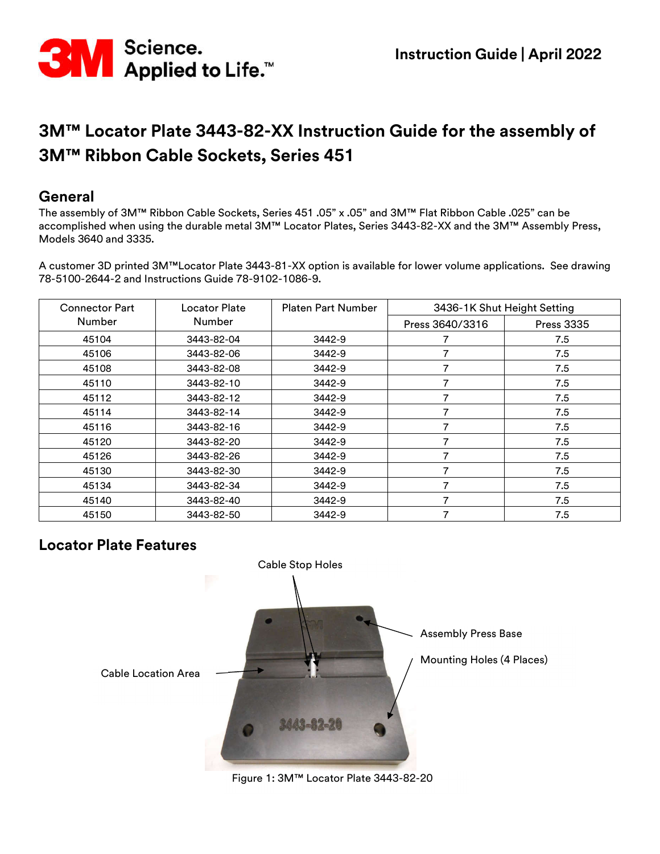

#### **General**

The assembly of 3M™ Ribbon Cable Sockets, Series 451 .05" x .05" and 3M™ Flat Ribbon Cable .025" can be accomplished when using the durable metal 3M™ Locator Plates, Series 3443-82-XX and the 3M™ Assembly Press, Models 3640 and 3335.

A customer 3D printed 3M™Locator Plate 3443-81-XX option is available for lower volume applications. See drawing 78-5100-2644-2 and Instructions Guide 78-9102-1086-9.

| <b>Connector Part</b> | Locator Plate | <b>Platen Part Number</b> | 3436-1K Shut Height Setting |                   |
|-----------------------|---------------|---------------------------|-----------------------------|-------------------|
| <b>Number</b>         | Number        |                           | Press 3640/3316             | <b>Press 3335</b> |
| 45104                 | 3443-82-04    | 3442-9                    |                             | 7.5               |
| 45106                 | 3443-82-06    | 3442-9                    |                             | 7.5               |
| 45108                 | 3443-82-08    | 3442-9                    | 7                           | 7.5               |
| 45110                 | 3443-82-10    | 3442-9                    |                             | 7.5               |
| 45112                 | 3443-82-12    | 3442-9                    | 7                           | 7.5               |
| 45114                 | 3443-82-14    | 3442-9                    |                             | 7.5               |
| 45116                 | 3443-82-16    | 3442-9                    | 7                           | 7.5               |
| 45120                 | 3443-82-20    | 3442-9                    |                             | 7.5               |
| 45126                 | 3443-82-26    | 3442-9                    | 7                           | 7.5               |
| 45130                 | 3443-82-30    | 3442-9                    |                             | 7.5               |
| 45134                 | 3443-82-34    | 3442-9                    | 7                           | 7.5               |
| 45140                 | 3443-82-40    | 3442-9                    | 7                           | 7.5               |
| 45150                 | 3443-82-50    | 3442-9                    | 7                           | 7.5               |

## **Locator Plate Features**



Figure 1: 3M™ Locator Plate 3443-82-20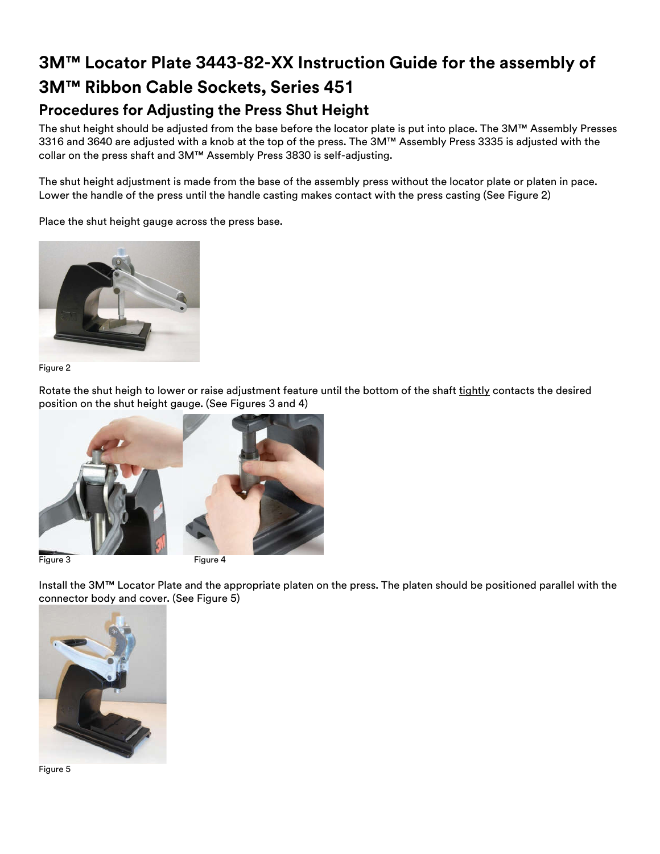## **Procedures for Adjusting the Press Shut Height**

The shut height should be adjusted from the base before the locator plate is put into place. The 3M™ Assembly Presses 3316 and 3640 are adjusted with a knob at the top of the press. The 3M™ Assembly Press 3335 is adjusted with the collar on the press shaft and 3M™ Assembly Press 3830 is self-adjusting.

The shut height adjustment is made from the base of the assembly press without the locator plate or platen in pace. Lower the handle of the press until the handle casting makes contact with the press casting (See Figure 2)

Place the shut height gauge across the press base.



#### Figure 2

Rotate the shut heigh to lower or raise adjustment feature until the bottom of the shaft tightly contacts the desired position on the shut height gauge. (See Figures 3 and 4)



Install the 3M™ Locator Plate and the appropriate platen on the press. The platen should be positioned parallel with the connector body and cover. (See Figure 5)



Figure 5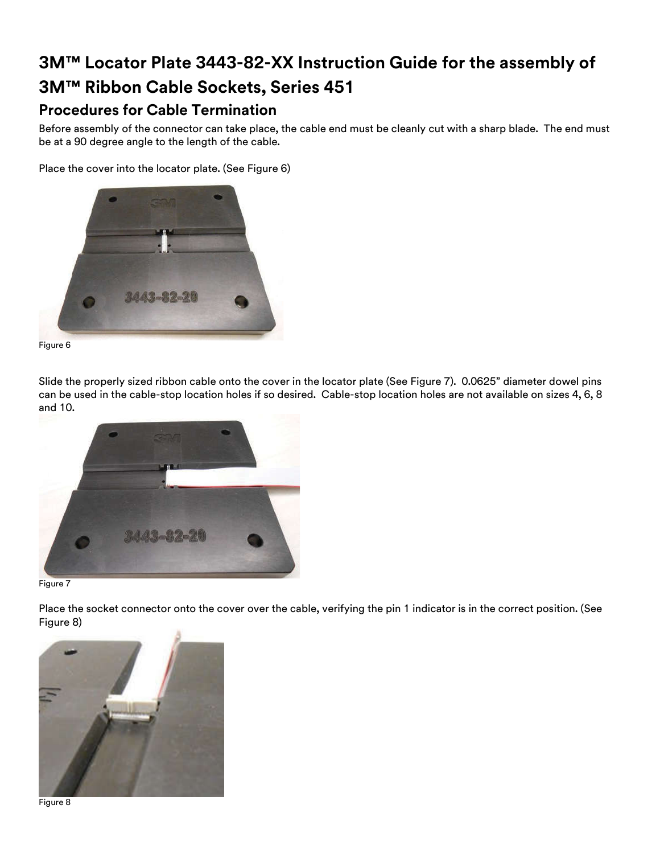## **Procedures for Cable Termination**

Before assembly of the connector can take place, the cable end must be cleanly cut with a sharp blade. The end must be at a 90 degree angle to the length of the cable.

Place the cover into the locator plate. (See Figure 6)





Slide the properly sized ribbon cable onto the cover in the locator plate (See Figure 7). 0.0625" diameter dowel pins can be used in the cable-stop location holes if so desired. Cable-stop location holes are not available on sizes 4, 6, 8 and 10.





Place the socket connector onto the cover over the cable, verifying the pin 1 indicator is in the correct position. (See Figure 8)



Figure 8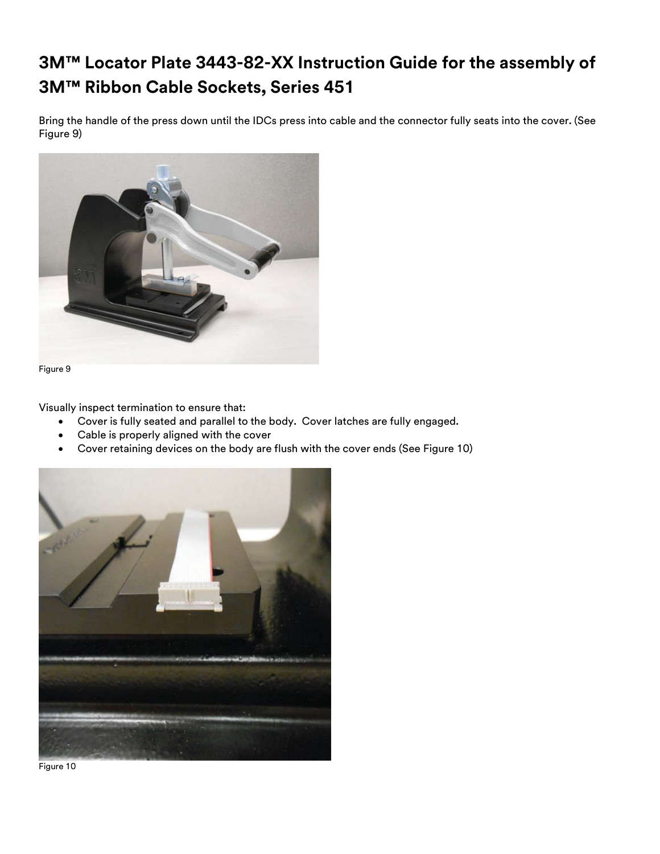Bring the handle of the press down until the IDCs press into cable and the connector fully seats into the cover. (See Figure 9)





Visually inspect termination to ensure that:

- Cover is fully seated and parallel to the body. Cover latches are fully engaged.
- Cable is properly aligned with the cover
- Cover retaining devices on the body are flush with the cover ends (See Figure 10)



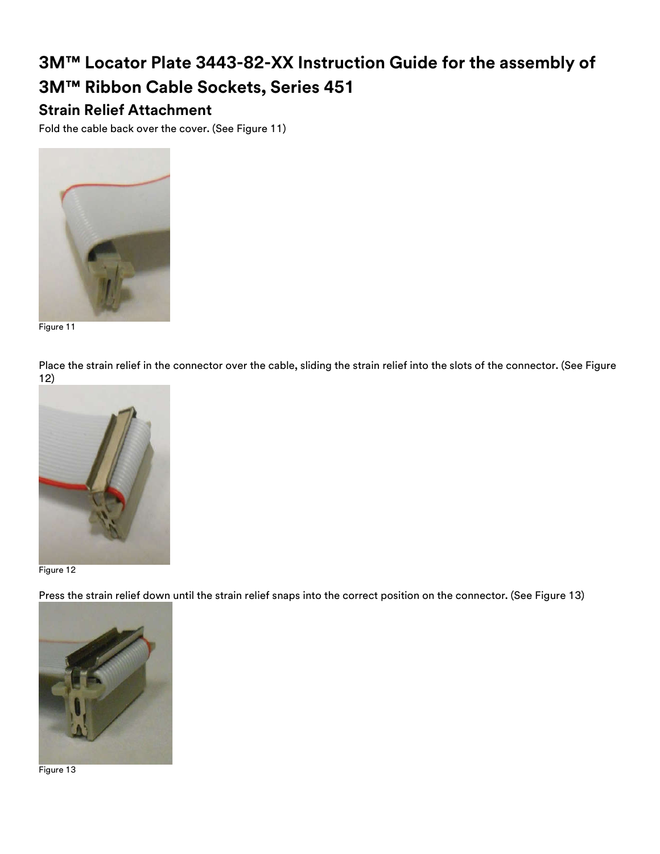## **Strain Relief Attachment**

Fold the cable back over the cover. (See Figure 11)



Figure 11

Place the strain relief in the connector over the cable, sliding the strain relief into the slots of the connector. (See Figure 12)



Figure 12

Press the strain relief down until the strain relief snaps into the correct position on the connector. (See Figure 13)



Figure 13